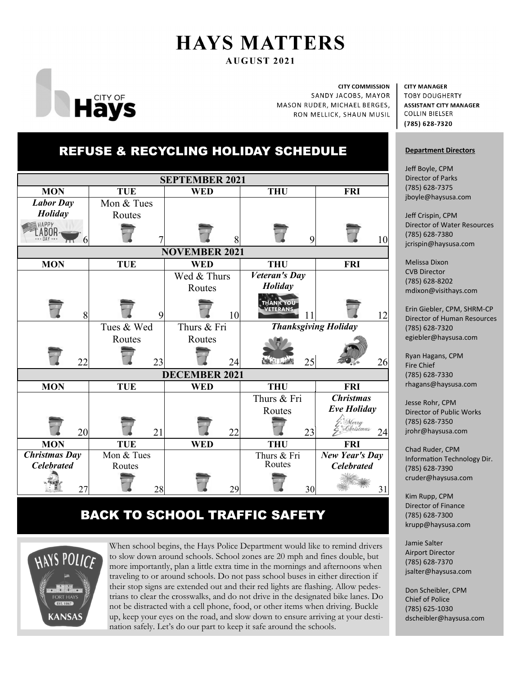# **HAYS MATTERS**

**AUGUST 2021** 



**CITY COMMISSION** SANDY JACOBS, MAYOR MASON RUDER, MICHAEL BERGES, RON MELLICK, SHAUN MUSIL

**CITY MANAGER TOBY DOUGHERTY ASSISTANT CITY MANAGER COLLIN BIELSER** (785) 628-7320

### **Department Directors**

Jeff Boyle, CPM Director of Parks (785) 628‐7375 jboyle@haysusa.com

Jeff Crispin, CPM Director of Water Resources (785) 628‐7380 jcrispin@haysusa.com

Melissa Dixon CVB Director (785) 628‐8202 mdixon@visithays.com

Erin Giebler, CPM, SHRM‐CP Director of Human Resources (785) 628‐7320 egiebler@haysusa.com

Ryan Hagans, CPM Fire Chief (785) 628‐7330 rhagans@haysusa.com

Jesse Rohr, CPM Director of Public Works (785) 628‐7350 jrohr@haysusa.com

Chad Ruder, CPM Information Technology Dir. (785) 628‐7390 cruder@haysusa.com

Kim Rupp, CPM Director of Finance (785) 628‐7300 krupp@haysusa.com

Jamie Salter Airport Director (785) 628‐7370 jsalter@haysusa.com

Don Scheibler, CPM Chief of Police (785) 625‐1030 dscheibler@haysusa.com

## REFUSE & RECYCLING HOLIDAY SCHEDULE



### BACK TO SCHOOL TRAFFIC SAFETY



When school begins, the Hays Police Department would like to remind drivers to slow down around schools. School zones are 20 mph and fines double, but more importantly, plan a little extra time in the mornings and afternoons when traveling to or around schools. Do not pass school buses in either direction if their stop signs are extended out and their red lights are flashing. Allow pedestrians to clear the crosswalks, and do not drive in the designated bike lanes. Do not be distracted with a cell phone, food, or other items when driving. Buckle up, keep your eyes on the road, and slow down to ensure arriving at your destination safely. Let's do our part to keep it safe around the schools.